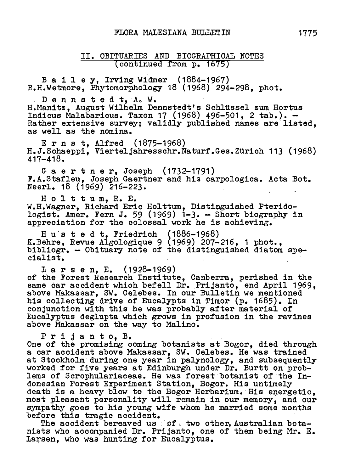II. Obituaries and Biographical Notes (continued from p.16757

Bailey, Irving Widmer (1884-1967) R.H. Wetmore, Phytomorphology <sup>18</sup> (1968) 294-298, phot.

Dennstedt, A.W. H. Manitz, August Wilhelm Dennstedt's Schlüssel zum Hortus Indicus Malabaricus. Taxon <sup>17</sup> (1968) 496-501, <sup>2</sup> tab.). — Rather extensive survey; validly published names are listed, as well as the nomina.

Ernst, Alfred (1875-1968) H.J.Schaeppi, Vierteljahresschr.Naturf.Ges.Zurich 113 (1968) 417-418.

Gaertner, Joseph (1732-1791) F.A.Stafleu, Joseph Gaertner and his carpologica. Acta Bot. Neerl. <sup>18</sup> (1969) 216-223.

<sup>H</sup> <sup>o</sup> <sup>1</sup> t t <sup>u</sup> m, R. E. n o 1 t t u m, n. n.<br>W.H.Wagner, Richard Eric Holttum, Distinguished Pterido<br>logist. Amer. Fern J. 59 (1969) 1-3. - Short biography logist. Amer. Fern J. 59 (1969)  $i-3$ . - Short biography in appreciation for the colossal work he is achieving.

<sup>H</sup> <sup>u</sup> <sup>s</sup> t <sup>e</sup> <sup>d</sup> t, Friedrich (1886-1968) K.Behre, Revue Algologique <sup>9</sup> (1969) 207-216, <sup>1</sup> phot., bibliogr. — Obituary note of the distinguished diatom spepipiiogi<br>cialist**.** cialist.<br>
Larsen.E. (1928-1969)

of the Forest Research Institute, Canberra, perished in the or the rorest hesearch institute, Canoerra, perished in the<br>same car accident which befell Dr. Prijanto, end April 1969, same car accident which beieil br. Frijanto, end April 15<br>above Makassar, SW. Celebes. In our Bulletin we mentioned his collecting drive of Eucalypts in Timor (p. 1685). In conjunction with this he was probably after material of Eucalyptus deglupta which grows in profusion in the ravines above Makassar on the way to Malino.

Prijanto, B.

One of the promising coming botanists at Bogor, died through <sup>a</sup> car accident above Makassar, SW. Celebes. He was trained at Stockholm during one year in palynology, and subsequently worked for five years at Edinburgh under Dr. Burtt on problems of Scrophulariaceae. He was forest botanist of the Indonesian Porest Experiment Station, Bogor. His untimely death is a heavy blow to the Bogor Herbarium. His energetic. most pleasant personality will remain in our memory, and our sympathy goes to his young wife whom he married some months before this tragic accident.

The accident bereaved us fof two other, Australian botanists who accompanied Dr. Prijanto, one of them being Mr. E. nists who accompanied Dr. Prijanto, one<br>Larsen, who was hunting for Eucalyptus.